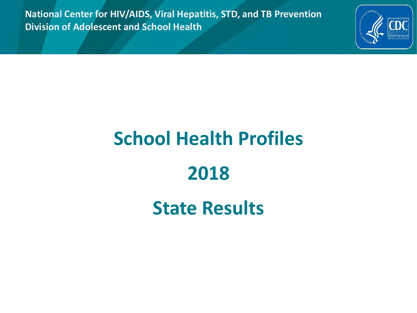**National Center for HIV/AIDS, Viral Hepatitis, STD, and TB Prevention Division of Adolescent and School Health**



# **School Health Profiles**

## **2018**

## **State Results**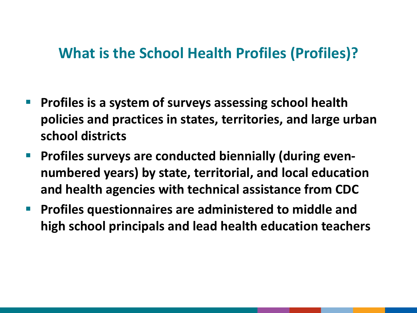#### **What is the School Health Profiles (Profiles)?**

- **Profiles is a system of surveys assessing school health policies and practices in states, territories, and large urban school districts**
- **Profiles surveys are conducted biennially (during evennumbered years) by state, territorial, and local education and health agencies with technical assistance from CDC**
- **Profiles questionnaires are administered to middle and high school principals and lead health education teachers**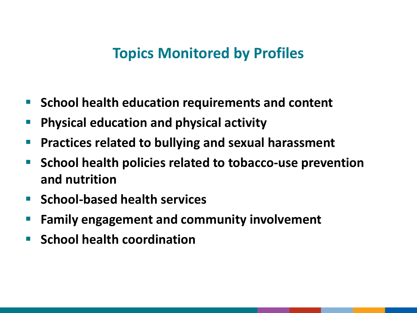#### **Topics Monitored by Profiles**

- **School health education requirements and content**
- **Physical education and physical activity**
- **Practices related to bullying and sexual harassment**
- **School health policies related to tobacco-use prevention and nutrition**
- **School-based health services**
- **Family engagement and community involvement**
- **School health coordination**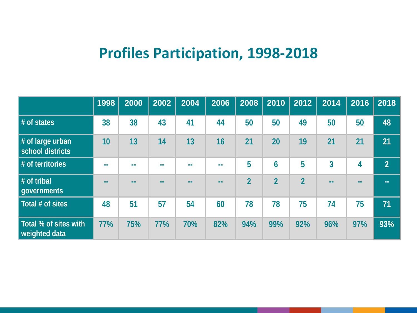### **Profiles Participation, 1998-2018**

|                                        | 1998 | 2000 | 2002 | 2004 | 2006 | 2008                     | 2010           | 2012           | 2014 | 2016 | 2018           |
|----------------------------------------|------|------|------|------|------|--------------------------|----------------|----------------|------|------|----------------|
| # of states                            | 38   | 38   | 43   | 41   | 44   | 50                       | 50             | 49             | 50   | 50   | 48             |
| # of large urban<br>school districts   | 10   | 13   | 14   | 13   | 16   | 21                       | 20             | 19             | 21   | 21   | 21             |
| # of territories                       | --   | --   |      | m m  | m m  | 5                        | 6              | 5              | 3    | 4    | 2 <sup>1</sup> |
| # of tribal<br>governments             |      |      |      |      |      | $\overline{\mathcal{L}}$ | $\overline{2}$ | $\overline{2}$ | --   |      | --             |
| Total # of sites                       | 48   | 51   | 57   | 54   | 60   | 78                       | 78             | 75             | 74   | 75   | 71             |
| Total % of sites with<br>weighted data | 77%  | 75%  | 77%  | 70%  | 82%  | 94%                      | 99%            | 92%            | 96%  | 97%  | 93%            |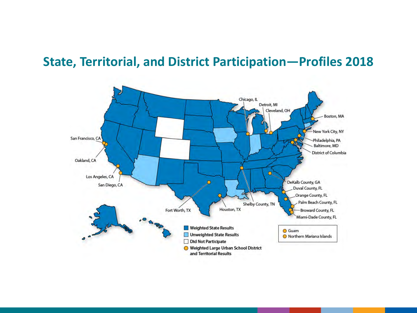#### **State, Territorial, and District Participation—Profiles 2018**

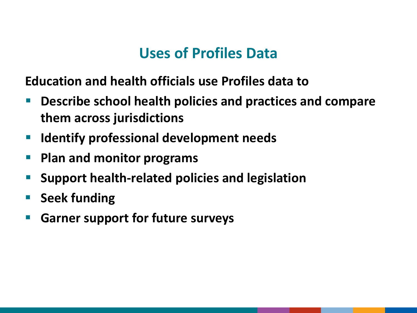### **Uses of Profiles Data**

**Education and health officials use Profiles data to**

- **Describe school health policies and practices and compare them across jurisdictions**
- **IDED 10 Identify professional development needs**
- **Plan and monitor programs**
- **Support health-related policies and legislation**
- **Seek funding**
- **Garner support for future surveys**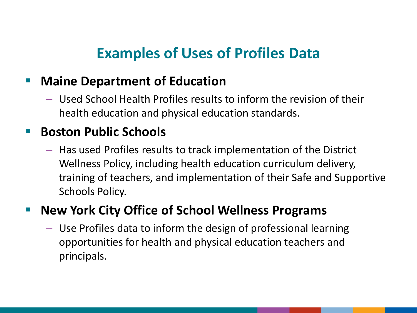## **Examples of Uses of Profiles Data**

#### **E** Maine Department of Education

– Used School Health Profiles results to inform the revision of their health education and physical education standards.

#### **Boston Public Schools**

– Has used Profiles results to track implementation of the District Wellness Policy, including health education curriculum delivery, training of teachers, and implementation of their Safe and Supportive Schools Policy.

#### **New York City Office of School Wellness Programs**

– Use Profiles data to inform the design of professional learning opportunities for health and physical education teachers and principals.